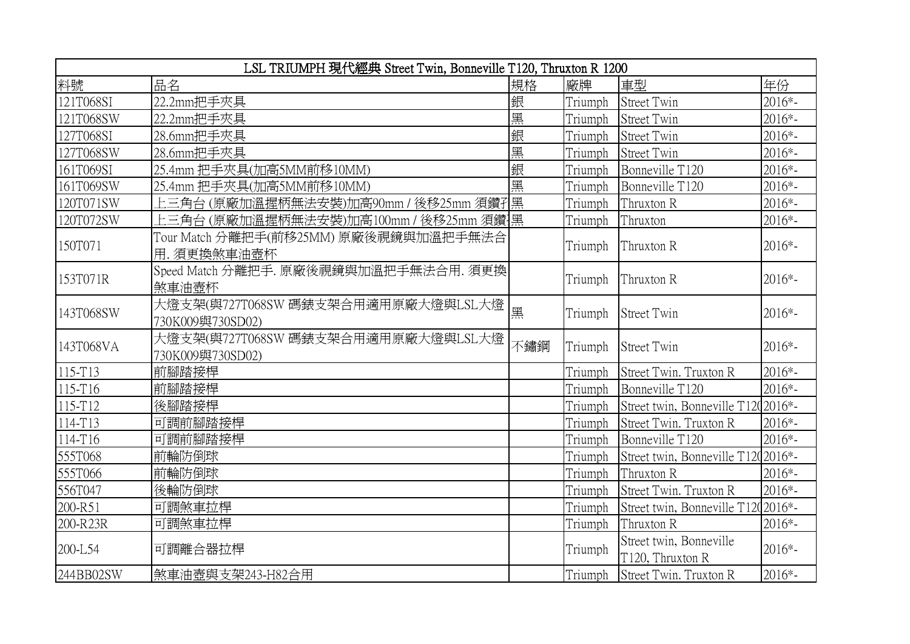| LSL TRIUMPH 現代經典 Street Twin, Bonneville T120, Thruxton R 1200 |                                                        |     |         |                                             |          |  |  |  |
|----------------------------------------------------------------|--------------------------------------------------------|-----|---------|---------------------------------------------|----------|--|--|--|
| 料號                                                             | 品名                                                     | 規格  | 廠牌      | 車型                                          | 年份       |  |  |  |
| 121T068SI                                                      | 22.2mm把手夾具                                             | 銀   | Triumph | <b>Street Twin</b>                          | $2016*-$ |  |  |  |
| 121T068SW                                                      | 22.2mm把手夾具                                             | 黑   | Triumph | Street Twin                                 | 2016*-   |  |  |  |
| 127T068SI                                                      | 28.6mm把手夾具                                             | 銀   | Triumph | Street Twin                                 | 2016*-   |  |  |  |
| 127T068SW                                                      | 28.6mm把手夾具                                             | 黑   | Triumph | Street Twin                                 | 2016*-   |  |  |  |
| 161T069SI                                                      | 25.4mm 把手夾具(加高5MM前移10MM)                               | 銀   | Triumph | Bonneville T120                             | 2016*-   |  |  |  |
| 161T069SW                                                      | 25.4mm 把手夾具(加高5MM前移10MM)                               | 黑   | Triumph | Bonneville T120                             | 2016*-   |  |  |  |
| 120T071SW                                                      | 上三角台(原廠加溫握柄無法安裝)加高90mm / 後移25mm 須鑽孔                    | 黑   | Triumph | Thruxton R                                  | 2016*-   |  |  |  |
| 120T072SW                                                      | 上三角台 (原廠加溫握柄無法安裝)加高100mm / 後移25mm 須鑽]黑                 |     | Triumph | Thruxton                                    | 2016*-   |  |  |  |
| 150T071                                                        | Tour Match 分離把手(前移25MM) 原廠後視鏡與加溫把手無法合<br>用. 須更換煞車油壺杯   |     | Triumph | Thruxton R                                  | $2016*-$ |  |  |  |
| 153T071R                                                       | Speed Match 分離把手. 原廠後視鏡與加溫把手無法合用. 須更換<br>煞車油壺杯         |     | Triumph | Thruxton R                                  | $2016*-$ |  |  |  |
| 143T068SW                                                      | 大燈支架(與727T068SW 碼錶支架合用適用原廠大燈與LSL大燈<br>730K009與730SD02) | 黑   | Triumph | <b>Street Twin</b>                          | $2016*-$ |  |  |  |
| 143T068VA                                                      | 大燈支架(與727T068SW 碼錶支架合用適用原廠大燈與LSL大燈<br>730K009與730SD02) | 不鏽鋼 | Triumph | <b>Street Twin</b>                          | $2016*-$ |  |  |  |
| 115-T13                                                        | 前腳踏接桿                                                  |     | Triumph | Street Twin. Truxton R                      | 2016*-   |  |  |  |
| 115-T16                                                        | 前腳踏接桿                                                  |     | Triumph | Bonneville T120                             | 2016*-   |  |  |  |
| 115-T12                                                        | 後腳踏接桿                                                  |     | Triumph | Street twin, Bonneville T1202016*-          |          |  |  |  |
| 114-T13                                                        | 可調前腳踏接桿                                                |     | Triumph | Street Twin. Truxton R                      | 2016*-   |  |  |  |
| 114-T16                                                        | 可調前腳踏接桿                                                |     | Triumph | Bonneville T120                             | $2016*-$ |  |  |  |
| 555T068                                                        | 前輪防倒球                                                  |     | Triumph | Street twin, Bonneville T1202016*-          |          |  |  |  |
| 555T066                                                        | 前輪防倒球                                                  |     | Triumph | Thruxton R                                  | 2016*-   |  |  |  |
| 556T047                                                        | 後輪防倒球                                                  |     | Triumph | Street Twin. Truxton R                      | 2016*-   |  |  |  |
| 200-R51                                                        | 可調煞車拉桿                                                 |     | Triumph | Street twin, Bonneville T1202016*-          |          |  |  |  |
| 200-R23R                                                       | 可調煞車拉桿                                                 |     | Triumph | Thruxton R                                  | 2016*-   |  |  |  |
| 200-L54                                                        | 可調離合器拉桿                                                |     | Triumph | Street twin, Bonneville<br>T120, Thruxton R | $2016*-$ |  |  |  |
| 244BB02SW                                                      | 煞車油壺與支架243-H82合用                                       |     | Triumph | Street Twin. Truxton R                      | 2016*-   |  |  |  |